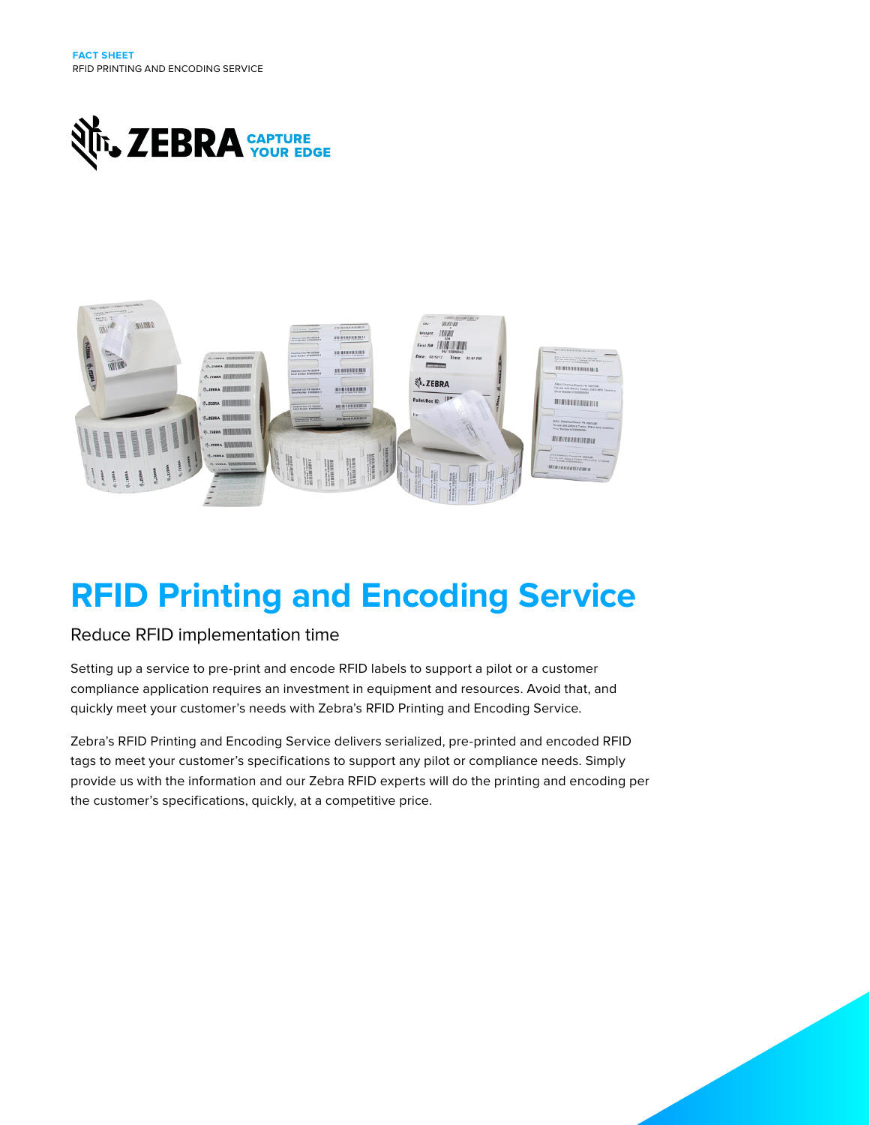



# **RFID Printing and Encoding Service**

## Reduce RFID implementation time

Setting up a service to pre-print and encode RFID labels to support a pilot or a customer compliance application requires an investment in equipment and resources. Avoid that, and quickly meet your customer's needs with Zebra's RFID Printing and Encoding Service.

Zebra's RFID Printing and Encoding Service delivers serialized, pre-printed and encoded RFID tags to meet your customer's specifications to support any pilot or compliance needs. Simply provide us with the information and our Zebra RFID experts will do the printing and encoding per the customer's specifications, quickly, at a competitive price.